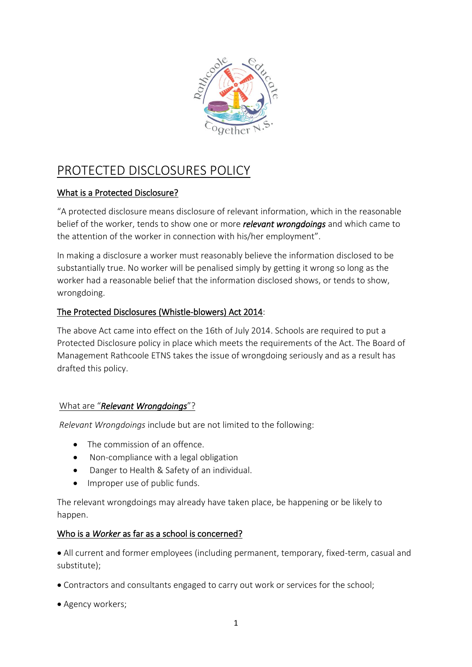

# PROTECTED DISCLOSURES POLICY

## What is a Protected Disclosure?

"A protected disclosure means disclosure of relevant information, which in the reasonable belief of the worker, tends to show one or more *relevant wrongdoings* and which came to the attention of the worker in connection with his/her employment".

In making a disclosure a worker must reasonably believe the information disclosed to be substantially true. No worker will be penalised simply by getting it wrong so long as the worker had a reasonable belief that the information disclosed shows, or tends to show, wrongdoing.

## The Protected Disclosures (Whistle-blowers) Act 2014:

The above Act came into effect on the 16th of July 2014. Schools are required to put a Protected Disclosure policy in place which meets the requirements of the Act. The Board of Management Rathcoole ETNS takes the issue of wrongdoing seriously and as a result has drafted this policy.

## What are "*Relevant Wrongdoings*"?

*Relevant Wrongdoings* include but are not limited to the following:

- The commission of an offence.
- Non-compliance with a legal obligation
- Danger to Health & Safety of an individual.
- Improper use of public funds.

The relevant wrongdoings may already have taken place, be happening or be likely to happen.

## Who is a *Worker* as far as a school is concerned?

• All current and former employees (including permanent, temporary, fixed-term, casual and substitute);

- Contractors and consultants engaged to carry out work or services for the school;
- Agency workers;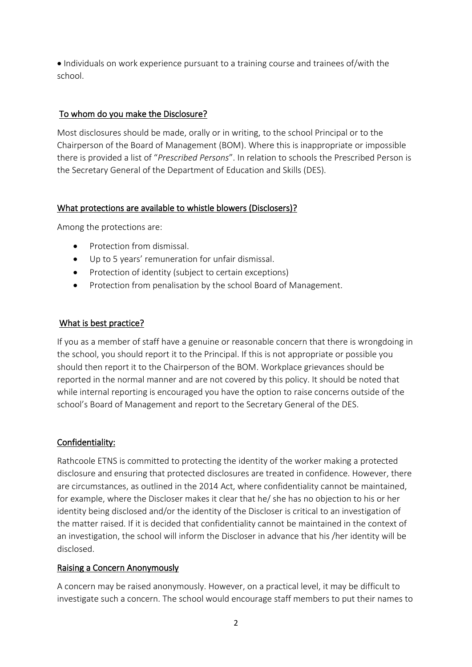• Individuals on work experience pursuant to a training course and trainees of/with the school.

## To whom do you make the Disclosure?

Most disclosures should be made, orally or in writing, to the school Principal or to the Chairperson of the Board of Management (BOM). Where this is inappropriate or impossible there is provided a list of "*Prescribed Persons*". In relation to schools the Prescribed Person is the Secretary General of the Department of Education and Skills (DES).

## What protections are available to whistle blowers (Disclosers)?

Among the protections are:

- Protection from dismissal.
- Up to 5 years' remuneration for unfair dismissal.
- Protection of identity (subject to certain exceptions)
- Protection from penalisation by the school Board of Management.

## What is best practice?

If you as a member of staff have a genuine or reasonable concern that there is wrongdoing in the school, you should report it to the Principal. If this is not appropriate or possible you should then report it to the Chairperson of the BOM. Workplace grievances should be reported in the normal manner and are not covered by this policy. It should be noted that while internal reporting is encouraged you have the option to raise concerns outside of the school's Board of Management and report to the Secretary General of the DES.

## Confidentiality:

Rathcoole ETNS is committed to protecting the identity of the worker making a protected disclosure and ensuring that protected disclosures are treated in confidence. However, there are circumstances, as outlined in the 2014 Act, where confidentiality cannot be maintained, for example, where the Discloser makes it clear that he/ she has no objection to his or her identity being disclosed and/or the identity of the Discloser is critical to an investigation of the matter raised. If it is decided that confidentiality cannot be maintained in the context of an investigation, the school will inform the Discloser in advance that his /her identity will be disclosed.

## Raising a Concern Anonymously

A concern may be raised anonymously. However, on a practical level, it may be difficult to investigate such a concern. The school would encourage staff members to put their names to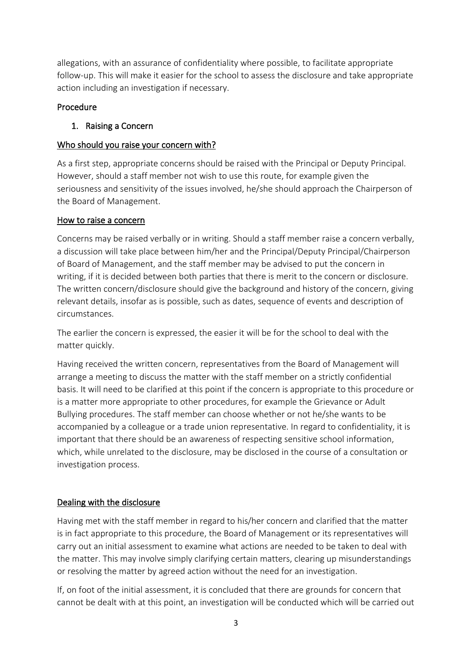allegations, with an assurance of confidentiality where possible, to facilitate appropriate follow-up. This will make it easier for the school to assess the disclosure and take appropriate action including an investigation if necessary.

## Procedure

## 1. Raising a Concern

## Who should you raise your concern with?

As a first step, appropriate concerns should be raised with the Principal or Deputy Principal. However, should a staff member not wish to use this route, for example given the seriousness and sensitivity of the issues involved, he/she should approach the Chairperson of the Board of Management.

## How to raise a concern

Concerns may be raised verbally or in writing. Should a staff member raise a concern verbally, a discussion will take place between him/her and the Principal/Deputy Principal/Chairperson of Board of Management, and the staff member may be advised to put the concern in writing, if it is decided between both parties that there is merit to the concern or disclosure. The written concern/disclosure should give the background and history of the concern, giving relevant details, insofar as is possible, such as dates, sequence of events and description of circumstances.

The earlier the concern is expressed, the easier it will be for the school to deal with the matter quickly.

Having received the written concern, representatives from the Board of Management will arrange a meeting to discuss the matter with the staff member on a strictly confidential basis. It will need to be clarified at this point if the concern is appropriate to this procedure or is a matter more appropriate to other procedures, for example the Grievance or Adult Bullying procedures. The staff member can choose whether or not he/she wants to be accompanied by a colleague or a trade union representative. In regard to confidentiality, it is important that there should be an awareness of respecting sensitive school information, which, while unrelated to the disclosure, may be disclosed in the course of a consultation or investigation process.

## Dealing with the disclosure

Having met with the staff member in regard to his/her concern and clarified that the matter is in fact appropriate to this procedure, the Board of Management or its representatives will carry out an initial assessment to examine what actions are needed to be taken to deal with the matter. This may involve simply clarifying certain matters, clearing up misunderstandings or resolving the matter by agreed action without the need for an investigation.

If, on foot of the initial assessment, it is concluded that there are grounds for concern that cannot be dealt with at this point, an investigation will be conducted which will be carried out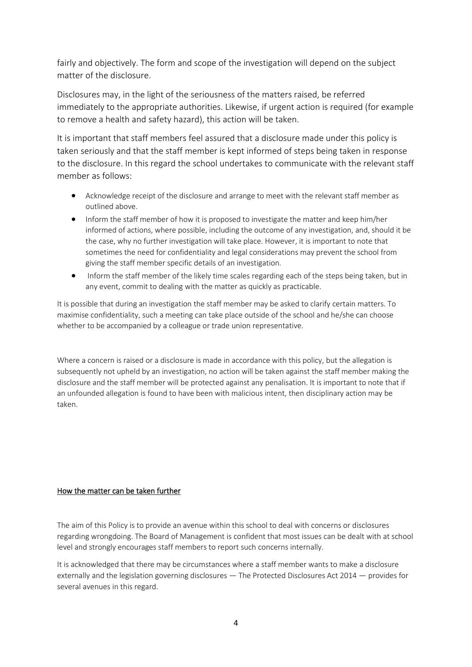fairly and objectively. The form and scope of the investigation will depend on the subject matter of the disclosure.

Disclosures may, in the light of the seriousness of the matters raised, be referred immediately to the appropriate authorities. Likewise, if urgent action is required (for example to remove a health and safety hazard), this action will be taken.

It is important that staff members feel assured that a disclosure made under this policy is taken seriously and that the staff member is kept informed of steps being taken in response to the disclosure. In this regard the school undertakes to communicate with the relevant staff member as follows:

- Acknowledge receipt of the disclosure and arrange to meet with the relevant staff member as outlined above.
- Inform the staff member of how it is proposed to investigate the matter and keep him/her informed of actions, where possible, including the outcome of any investigation, and, should it be the case, why no further investigation will take place. However, it is important to note that sometimes the need for confidentiality and legal considerations may prevent the school from giving the staff member specific details of an investigation.
- Inform the staff member of the likely time scales regarding each of the steps being taken, but in any event, commit to dealing with the matter as quickly as practicable.

It is possible that during an investigation the staff member may be asked to clarify certain matters. To maximise confidentiality, such a meeting can take place outside of the school and he/she can choose whether to be accompanied by a colleague or trade union representative.

Where a concern is raised or a disclosure is made in accordance with this policy, but the allegation is subsequently not upheld by an investigation, no action will be taken against the staff member making the disclosure and the staff member will be protected against any penalisation. It is important to note that if an unfounded allegation is found to have been with malicious intent, then disciplinary action may be taken.

#### How the matter can be taken further

The aim of this Policy is to provide an avenue within this school to deal with concerns or disclosures regarding wrongdoing. The Board of Management is confident that most issues can be dealt with at school level and strongly encourages staff members to report such concerns internally.

It is acknowledged that there may be circumstances where a staff member wants to make a disclosure externally and the legislation governing disclosures — The Protected Disclosures Act 2014 — provides for several avenues in this regard.